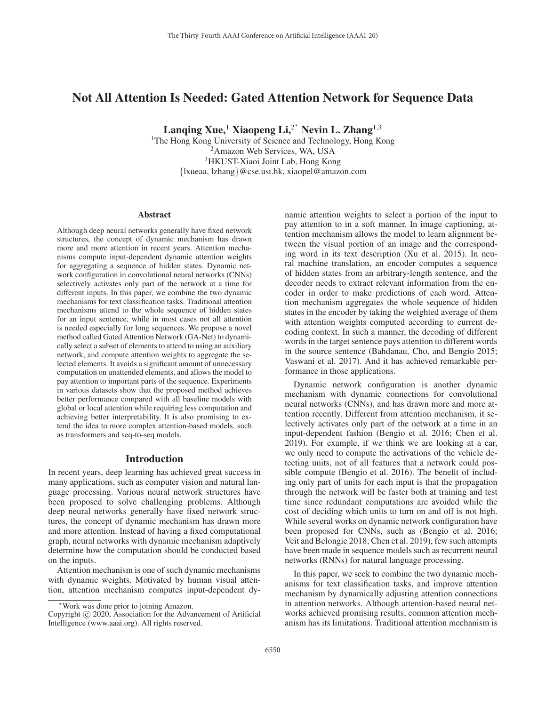# Not All Attention Is Needed: Gated Attention Network for Sequence Data

Lanqing Xue, $^1$  Xiaopeng Li, $^{2^\ast}$  Nevin L. Zhang $^{1,3}$ 

<sup>1</sup>The Hong Kong University of Science and Technology, Hong Kong <sup>2</sup>Amazon Web Services, WA, USA 3HKUST-Xiaoi Joint Lab, Hong Kong {lxueaa, lzhang}@cse.ust.hk, xiaopel@amazon.com

#### Abstract

Although deep neural networks generally have fixed network structures, the concept of dynamic mechanism has drawn more and more attention in recent years. Attention mechanisms compute input-dependent dynamic attention weights for aggregating a sequence of hidden states. Dynamic network configuration in convolutional neural networks (CNNs) selectively activates only part of the network at a time for different inputs. In this paper, we combine the two dynamic mechanisms for text classification tasks. Traditional attention mechanisms attend to the whole sequence of hidden states for an input sentence, while in most cases not all attention is needed especially for long sequences. We propose a novel method called Gated Attention Network (GA-Net) to dynamically select a subset of elements to attend to using an auxiliary network, and compute attention weights to aggregate the selected elements. It avoids a significant amount of unnecessary computation on unattended elements, and allows the model to pay attention to important parts of the sequence. Experiments in various datasets show that the proposed method achieves better performance compared with all baseline models with global or local attention while requiring less computation and achieving better interpretability. It is also promising to extend the idea to more complex attention-based models, such as transformers and seq-to-seq models.

## Introduction

In recent years, deep learning has achieved great success in many applications, such as computer vision and natural language processing. Various neural network structures have been proposed to solve challenging problems. Although deep neural networks generally have fixed network structures, the concept of dynamic mechanism has drawn more and more attention. Instead of having a fixed computational graph, neural networks with dynamic mechanism adaptively determine how the computation should be conducted based on the inputs.

Attention mechanism is one of such dynamic mechanisms with dynamic weights. Motivated by human visual attention, attention mechanism computes input-dependent dy-

namic attention weights to select a portion of the input to pay attention to in a soft manner. In image captioning, attention mechanism allows the model to learn alignment between the visual portion of an image and the corresponding word in its text description (Xu et al. 2015). In neural machine translation, an encoder computes a sequence of hidden states from an arbitrary-length sentence, and the decoder needs to extract relevant information from the encoder in order to make predictions of each word. Attention mechanism aggregates the whole sequence of hidden states in the encoder by taking the weighted average of them with attention weights computed according to current decoding context. In such a manner, the decoding of different words in the target sentence pays attention to different words in the source sentence (Bahdanau, Cho, and Bengio 2015; Vaswani et al. 2017). And it has achieved remarkable performance in those applications.

Dynamic network configuration is another dynamic mechanism with dynamic connections for convolutional neural networks (CNNs), and has drawn more and more attention recently. Different from attention mechanism, it selectively activates only part of the network at a time in an input-dependent fashion (Bengio et al. 2016; Chen et al. 2019). For example, if we think we are looking at a car, we only need to compute the activations of the vehicle detecting units, not of all features that a network could possible compute (Bengio et al. 2016). The benefit of including only part of units for each input is that the propagation through the network will be faster both at training and test time since redundant computations are avoided while the cost of deciding which units to turn on and off is not high. While several works on dynamic network configuration have been proposed for CNNs, such as (Bengio et al. 2016; Veit and Belongie 2018; Chen et al. 2019), few such attempts have been made in sequence models such as recurrent neural networks (RNNs) for natural language processing.

In this paper, we seek to combine the two dynamic mechanisms for text classification tasks, and improve attention mechanism by dynamically adjusting attention connections in attention networks. Although attention-based neural networks achieved promising results, common attention mechanism has its limitations. Traditional attention mechanism is

<sup>∗</sup>Work was done prior to joining Amazon.

Copyright  $\odot$  2020, Association for the Advancement of Artificial Intelligence (www.aaai.org). All rights reserved.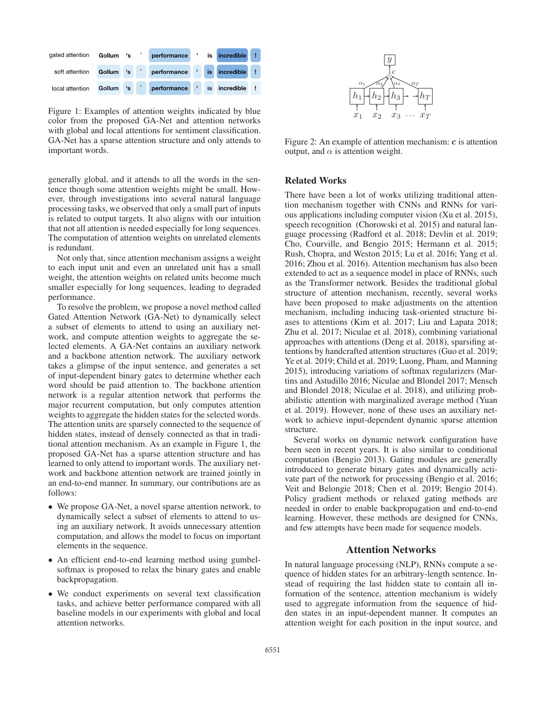

Figure 1: Examples of attention weights indicated by blue color from the proposed GA-Net and attention networks with global and local attentions for sentiment classification. GA-Net has a sparse attention structure and only attends to important words.

generally global, and it attends to all the words in the sentence though some attention weights might be small. However, through investigations into several natural language processing tasks, we observed that only a small part of inputs is related to output targets. It also aligns with our intuition that not all attention is needed especially for long sequences. The computation of attention weights on unrelated elements is redundant.

Not only that, since attention mechanism assigns a weight to each input unit and even an unrelated unit has a small weight, the attention weights on related units become much smaller especially for long sequences, leading to degraded performance.

To resolve the problem, we propose a novel method called Gated Attention Network (GA-Net) to dynamically select a subset of elements to attend to using an auxiliary network, and compute attention weights to aggregate the selected elements. A GA-Net contains an auxiliary network and a backbone attention network. The auxiliary network takes a glimpse of the input sentence, and generates a set of input-dependent binary gates to determine whether each word should be paid attention to. The backbone attention network is a regular attention network that performs the major recurrent computation, but only computes attention weights to aggregate the hidden states for the selected words. The attention units are sparsely connected to the sequence of hidden states, instead of densely connected as that in traditional attention mechanism. As an example in Figure 1, the proposed GA-Net has a sparse attention structure and has learned to only attend to important words. The auxiliary network and backbone attention network are trained jointly in an end-to-end manner. In summary, our contributions are as follows:

- We propose GA-Net, a novel sparse attention network, to dynamically select a subset of elements to attend to using an auxiliary network. It avoids unnecessary attention computation, and allows the model to focus on important elements in the sequence.
- An efficient end-to-end learning method using gumbelsoftmax is proposed to relax the binary gates and enable backpropagation.
- We conduct experiments on several text classification tasks, and achieve better performance compared with all baseline models in our experiments with global and local attention networks.



Figure 2: An example of attention mechanism: **c** is attention output, and  $\alpha$  is attention weight.

#### Related Works

There have been a lot of works utilizing traditional attention mechanism together with CNNs and RNNs for various applications including computer vision (Xu et al. 2015), speech recognition (Chorowski et al. 2015) and natural language processing (Radford et al. 2018; Devlin et al. 2019; Cho, Courville, and Bengio 2015; Hermann et al. 2015; Rush, Chopra, and Weston 2015; Lu et al. 2016; Yang et al. 2016; Zhou et al. 2016). Attention mechanism has also been extended to act as a sequence model in place of RNNs, such as the Transformer network. Besides the traditional global structure of attention mechanism, recently, several works have been proposed to make adjustments on the attention mechanism, including inducing task-oriented structure biases to attentions (Kim et al. 2017; Liu and Lapata 2018; Zhu et al. 2017; Niculae et al. 2018), combining variational approaches with attentions (Deng et al. 2018), sparsifing attentions by handcrafted attention structures (Guo et al. 2019; Ye et al. 2019; Child et al. 2019; Luong, Pham, and Manning 2015), introducing variations of softmax regularizers (Martins and Astudillo 2016; Niculae and Blondel 2017; Mensch and Blondel 2018; Niculae et al. 2018), and utilizing probabilistic attention with marginalized average method (Yuan et al. 2019). However, none of these uses an auxiliary network to achieve input-dependent dynamic sparse attention structure.

Several works on dynamic network configuration have been seen in recent years. It is also similar to conditional computation (Bengio 2013). Gating modules are generally introduced to generate binary gates and dynamically activate part of the network for processing (Bengio et al. 2016; Veit and Belongie 2018; Chen et al. 2019; Bengio 2014). Policy gradient methods or relaxed gating methods are needed in order to enable backpropagation and end-to-end learning. However, these methods are designed for CNNs, and few attempts have been made for sequence models.

# Attention Networks

In natural language processing (NLP), RNNs compute a sequence of hidden states for an arbitrary-length sentence. Instead of requiring the last hidden state to contain all information of the sentence, attention mechanism is widely used to aggregate information from the sequence of hidden states in an input-dependent manner. It computes an attention weight for each position in the input source, and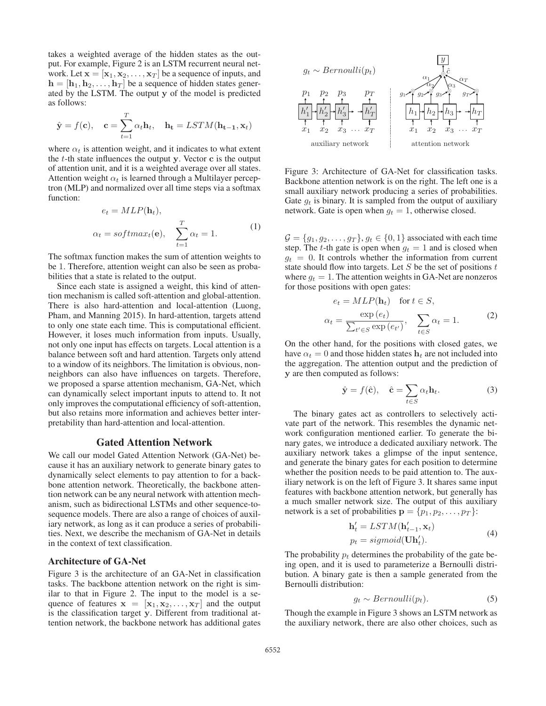takes a weighted average of the hidden states as the output. For example, Figure 2 is an LSTM recurrent neural network. Let  $\mathbf{x} = [\mathbf{x}_1, \mathbf{x}_2, \dots, \mathbf{x}_T]$  be a sequence of inputs, and  $h = [h_1, h_2, \ldots, h_T]$  be a sequence of hidden states generated by the LSTM. The output **y** of the model is predicted as follows:

$$
\hat{\mathbf{y}} = f(\mathbf{c}), \quad \mathbf{c} = \sum_{t=1}^{T} \alpha_t \mathbf{h}_t, \quad \mathbf{h_t} = LSTM(\mathbf{h_{t-1}}, \mathbf{x}_t)
$$

where  $\alpha_t$  is attention weight, and it indicates to what extent the <sup>t</sup>-th state influences the output **y**. Vector **c** is the output of attention unit, and it is a weighted average over all states. Attention weight  $\alpha_t$  is learned through a Multilayer perceptron (MLP) and normalized over all time steps via a softmax function:

$$
e_t = MLP(\mathbf{h}_t),
$$
  
\n
$$
\alpha_t = softmax_t(\mathbf{e}), \quad \sum_{t=1}^T \alpha_t = 1.
$$
 (1)

The softmax function makes the sum of attention weights to be 1. Therefore, attention weight can also be seen as probabilities that a state is related to the output.

Since each state is assigned a weight, this kind of attention mechanism is called soft-attention and global-attention. There is also hard-attention and local-attention (Luong, Pham, and Manning 2015). In hard-attention, targets attend to only one state each time. This is computational efficient. However, it loses much information from inputs. Usually, not only one input has effects on targets. Local attention is a balance between soft and hard attention. Targets only attend to a window of its neighbors. The limitation is obvious, nonneighbors can also have influences on targets. Therefore, we proposed a sparse attention mechanism, GA-Net, which can dynamically select important inputs to attend to. It not only improves the computational efficiency of soft-attention, but also retains more information and achieves better interpretability than hard-attention and local-attention.

# Gated Attention Network

We call our model Gated Attention Network (GA-Net) because it has an auxiliary network to generate binary gates to dynamically select elements to pay attention to for a backbone attention network. Theoretically, the backbone attention network can be any neural network with attention mechanism, such as bidirectional LSTMs and other sequence-tosequence models. There are also a range of choices of auxiliary network, as long as it can produce a series of probabilities. Next, we describe the mechanism of GA-Net in details in the context of text classification.

### Architecture of GA-Net

Figure 3 is the architecture of an GA-Net in classification tasks. The backbone attention network on the right is similar to that in Figure 2. The input to the model is a sequence of features  $\mathbf{x} = [\mathbf{x}_1, \mathbf{x}_2, \dots, \mathbf{x}_T]$  and the output is the classification target **y**. Different from traditional attention network, the backbone network has additional gates



Figure 3: Architecture of GA-Net for classification tasks. Backbone attention network is on the right. The left one is a small auxiliary network producing a series of probabilities. Gate  $g_t$  is binary. It is sampled from the output of auxiliary network. Gate is open when  $q_t = 1$ , otherwise closed.

 $\mathcal{G} = \{g_1, g_2, \ldots, g_T\}, g_t \in \{0, 1\}$  associated with each time step. The t-th gate is open when  $g_t = 1$  and is closed when  $g_t = 0$ . It controls whether the information from current state should flow into targets. Let  $S$  be the set of positions  $t$ where  $q_t = 1$ . The attention weights in GA-Net are nonzeros for those positions with open gates:

$$
e_t = MLP(\mathbf{h}_t) \quad \text{for } t \in S,
$$
  

$$
\alpha_t = \frac{\exp(e_t)}{\sum_{t' \in S} \exp(e_{t'})}, \quad \sum_{t \in S} \alpha_t = 1.
$$
 (2)

On the other hand, for the positions with closed gates, we have  $\alpha_t = 0$  and those hidden states  $\mathbf{h}_t$  are not included into the aggregation. The attention output and the prediction of **y** are then computed as follows:

$$
\hat{\mathbf{y}} = f(\hat{\mathbf{c}}), \quad \hat{\mathbf{c}} = \sum_{t \in S} \alpha_t \mathbf{h}_t.
$$
 (3)

The binary gates act as controllers to selectively activate part of the network. This resembles the dynamic network configuration mentioned earlier. To generate the binary gates, we introduce a dedicated auxiliary network. The auxiliary network takes a glimpse of the input sentence, and generate the binary gates for each position to determine whether the position needs to be paid attention to. The auxiliary network is on the left of Figure 3. It shares same input features with backbone attention network, but generally has a much smaller network size. The output of this auxiliary network is a set of probabilities  $\mathbf{p} = \{p_1, p_2, \dots, p_T\}$ :

$$
\mathbf{h}'_t = LSTM(\mathbf{h}'_{t-1}, \mathbf{x}_t)
$$
  
\n
$$
p_t = sigmoid(\mathbf{Uh}'_t).
$$
\n(4)

The probability  $p_t$  determines the probability of the gate being open, and it is used to parameterize a Bernoulli distribution. A binary gate is then a sample generated from the Bernoulli distribution:

$$
g_t \sim Bernoulli(p_t). \tag{5}
$$

Though the example in Figure 3 shows an LSTM network as the auxiliary network, there are also other choices, such as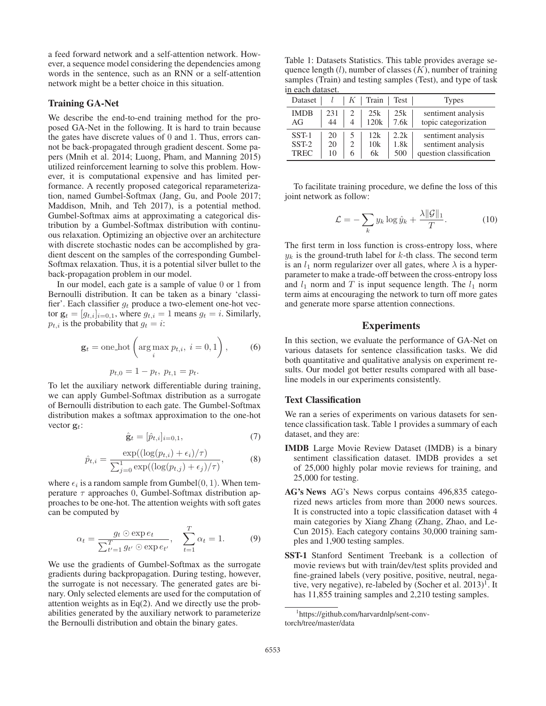a feed forward network and a self-attention network. However, a sequence model considering the dependencies among words in the sentence, such as an RNN or a self-attention network might be a better choice in this situation.

### Training GA-Net

We describe the end-to-end training method for the proposed GA-Net in the following. It is hard to train because the gates have discrete values of 0 and 1. Thus, errors cannot be back-propagated through gradient descent. Some papers (Mnih et al. 2014; Luong, Pham, and Manning 2015) utilized reinforcement learning to solve this problem. However, it is computational expensive and has limited performance. A recently proposed categorical reparameterization, named Gumbel-Softmax (Jang, Gu, and Poole 2017; Maddison, Mnih, and Teh 2017), is a potential method. Gumbel-Softmax aims at approximating a categorical distribution by a Gumbel-Softmax distribution with continuous relaxation. Optimizing an objective over an architecture with discrete stochastic nodes can be accomplished by gradient descent on the samples of the corresponding Gumbel-Softmax relaxation. Thus, it is a potential silver bullet to the back-propagation problem in our model.

In our model, each gate is a sample of value 0 or 1 from Bernoulli distribution. It can be taken as a binary 'classifier'. Each classifier  $g_t$  produce a two-element one-hot vector  $\mathbf{g}_t = [g_{t,i}]_{i=0,1}$ , where  $g_{t,i} = 1$  means  $g_t = i$ . Similarly,  $p_{t,i}$  is the probability that  $g_t = i$ :

$$
\mathbf{g}_t = \text{one-hot}\left(\arg\max_i p_{t,i}, i = 0, 1\right),\tag{6}
$$

$$
p_{t,0} = 1 - p_t, p_{t,1} = p_t.
$$

To let the auxiliary network differentiable during training, we can apply Gumbel-Softmax distribution as a surrogate of Bernoulli distribution to each gate. The Gumbel-Softmax distribution makes a softmax approximation to the one-hot vector  $\mathbf{g}_t$ :

$$
\hat{\mathbf{g}}_t = [\hat{p}_{t,i}]_{i=0,1},\tag{7}
$$

$$
\hat{p}_{t,i} = \frac{\exp((\log(p_{t,i}) + \epsilon_i)/\tau)}{\sum_{j=0}^1 \exp((\log(p_{t,j}) + \epsilon_j)/\tau)},
$$
\n(8)

where  $\epsilon_i$  is a random sample from Gumbel $(0, 1)$ . When temperature  $\tau$  approaches 0, Gumbel-Softmax distribution approaches to be one-hot. The attention weights with soft gates can be computed by

$$
\alpha_t = \frac{g_t \odot \exp e_t}{\sum_{t'=1}^T g_{t'} \odot \exp e_{t'}}, \quad \sum_{t=1}^T \alpha_t = 1. \tag{9}
$$

We use the gradients of Gumbel-Softmax as the surrogate gradients during backpropagation. During testing, however, the surrogate is not necessary. The generated gates are binary. Only selected elements are used for the computation of attention weights as in  $Eq(2)$ . And we directly use the probabilities generated by the auxiliary network to parameterize the Bernoulli distribution and obtain the binary gates.

Table 1: Datasets Statistics. This table provides average sequence length  $(l)$ , number of classes  $(K)$ , number of training samples (Train) and testing samples (Test), and type of task in each dataset.

| Dataset     |     | Κ | Train | Test | Types                   |
|-------------|-----|---|-------|------|-------------------------|
| <b>IMDB</b> | 231 | 4 | 25k   | 25k  | sentiment analysis      |
| AG          | 44  |   | 120k  | 7.6k | topic categorization    |
| $SST-1$     | 20  | 6 | 12k   | 2.2k | sentiment analysis      |
| $SST-2$     | 20  |   | 10k   | 1.8k | sentiment analysis      |
| <b>TREC</b> | 10  |   | 6k    | 500  | question classification |

To facilitate training procedure, we define the loss of this joint network as follow:

$$
\mathcal{L} = -\sum_{k} y_k \log \hat{y}_k + \frac{\lambda \|\mathcal{G}\|_1}{T}.
$$
 (10)

The first term in loss function is cross-entropy loss, where  $y_k$  is the ground-truth label for k-th class. The second term is an  $l_1$  norm regularizer over all gates, where  $\lambda$  is a hyperparameter to make a trade-off between the cross-entropy loss and  $l_1$  norm and T is input sequence length. The  $l_1$  norm term aims at encouraging the network to turn off more gates and generate more sparse attention connections.

## Experiments

In this section, we evaluate the performance of GA-Net on various datasets for sentence classification tasks. We did both quantitative and qualitative analysis on experiment results. Our model got better results compared with all baseline models in our experiments consistently.

### Text Classification

We ran a series of experiments on various datasets for sentence classification task. Table 1 provides a summary of each dataset, and they are:

- IMDB Large Movie Review Dataset (IMDB) is a binary sentiment classification dataset. IMDB provides a set of 25,000 highly polar movie reviews for training, and 25,000 for testing.
- AG's News AG's News corpus contains 496,835 categorized news articles from more than 2000 news sources. It is constructed into a topic classification dataset with 4 main categories by Xiang Zhang (Zhang, Zhao, and Le-Cun 2015). Each category contains 30,000 training samples and 1,900 testing samples.
- SST-1 Stanford Sentiment Treebank is a collection of movie reviews but with train/dev/test splits provided and fine-grained labels (very positive, positive, neutral, negative, very negative), re-labeled by (Socher et al.  $2013$ )<sup>1</sup>. It has 11,855 training samples and 2,210 testing samples.

<sup>1</sup> https://github.com/harvardnlp/sent-convtorch/tree/master/data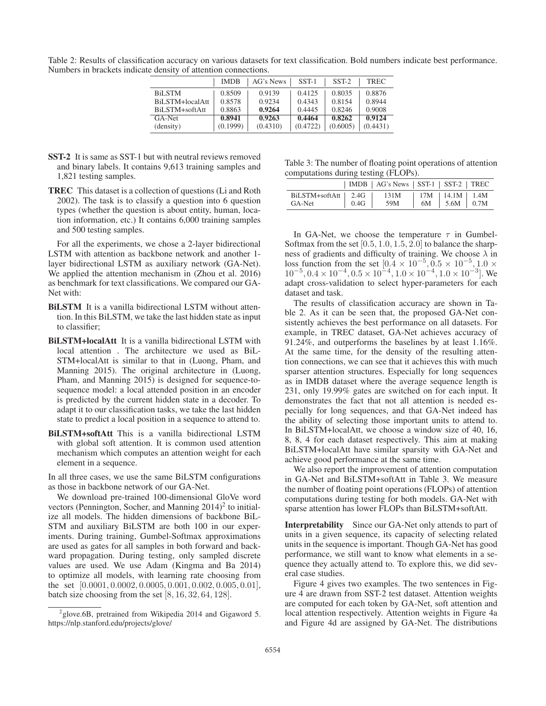|                 | <b>IMDB</b> | AG's News | $SST-1$  | SST-2    | <b>TREC</b> |
|-----------------|-------------|-----------|----------|----------|-------------|
| <b>BiLSTM</b>   | 0.8509      | 0.9139    | 0.4125   | 0.8035   | 0.8876      |
| BiLSTM+localAtt | 0.8578      | 0.9234    | 0.4343   | 0.8154   | 0.8944      |
| BiLSTM+softAtt  | 0.8863      | 0.9264    | 0.4445   | 0.8246   | 0.9008      |
| GA-Net          | 0.8941      | 0.9263    | 0.4464   | 0.8262   | 0.9124      |
| (density)       | (0.1999)    | (0.4310)  | (0.4722) | (0.6005) | (0.4431)    |

Table 2: Results of classification accuracy on various datasets for text classification. Bold numbers indicate best performance. Numbers in brackets indicate density of attention connections.

- SST-2 It is same as SST-1 but with neutral reviews removed and binary labels. It contains 9,613 training samples and 1,821 testing samples.
- TREC This dataset is a collection of questions (Li and Roth 2002). The task is to classify a question into 6 question types (whether the question is about entity, human, location information, etc.) It contains 6,000 training samples and 500 testing samples.

For all the experiments, we chose a 2-layer bidirectional LSTM with attention as backbone network and another 1 layer bidirectional LSTM as auxiliary network (GA-Net). We applied the attention mechanism in (Zhou et al. 2016) as benchmark for text classifications. We compared our GA-Net with:

- BiLSTM It is a vanilla bidirectional LSTM without attention. In this BiLSTM, we take the last hidden state as input to classifier;
- BiLSTM+localAtt It is a vanilla bidirectional LSTM with local attention . The architecture we used as BiL-STM+localAtt is similar to that in (Luong, Pham, and Manning 2015). The original architecture in (Luong, Pham, and Manning 2015) is designed for sequence-tosequence model: a local attended position in an encoder is predicted by the current hidden state in a decoder. To adapt it to our classification tasks, we take the last hidden state to predict a local position in a sequence to attend to.
- BiLSTM+softAtt This is a vanilla bidirectional LSTM with global soft attention. It is common used attention mechanism which computes an attention weight for each element in a sequence.

In all three cases, we use the same BiLSTM configurations as those in backbone network of our GA-Net.

We download pre-trained 100-dimensional GloVe word vectors (Pennington, Socher, and Manning  $2014$ )<sup>2</sup> to initialize all models. The hidden dimensions of backbone BiL-STM and auxiliary BiLSTM are both 100 in our experiments. During training, Gumbel-Softmax approximations are used as gates for all samples in both forward and backward propagation. During testing, only sampled discrete values are used. We use Adam (Kingma and Ba 2014) to optimize all models, with learning rate choosing from the set [0.0001, 0.0002, 0.0005, 0.001, 0.002, 0.005, 0.01], batch size choosing from the set [8, 16, 32, 64, 128].

Table 3: The number of floating point operations of attention computations during testing (FLOPs).

|                                 |      | IMDB   AG's News   SST-1   SST-2   TREC |    |                                           |  |
|---------------------------------|------|-----------------------------------------|----|-------------------------------------------|--|
| BiLSTM+softAtt   2.4G<br>GA-Net | 0.4G | 131M<br>59M                             | 6M | $17M$   $14.1M$   $1.4M$<br>$5.6M$   0.7M |  |

In GA-Net, we choose the temperature  $\tau$  in Gumbel-Softmax from the set  $[0.5, 1.0, 1.5, 2.0]$  to balance the sharpness of gradients and difficulty of training. We choose  $\lambda$  in loss function from the set  $[0.4 \times 10^{-5}, 0.5 \times 10^{-5}, 1.0 \times$  $10^{-5}$ ,  $0.4 \times 10^{-4}$ ,  $0.5 \times 10^{-4}$ ,  $1.0 \times 10^{-4}$ ,  $1.0 \times 10^{-3}$ . We adapt cross-validation to select hyper-parameters for each dataset and task.

The results of classification accuracy are shown in Table 2. As it can be seen that, the proposed GA-Net consistently achieves the best performance on all datasets. For example, in TREC dataset, GA-Net achieves accuracy of 91.24%, and outperforms the baselines by at least 1.16%. At the same time, for the density of the resulting attention connections, we can see that it achieves this with much sparser attention structures. Especially for long sequences as in IMDB dataset where the average sequence length is 231, only 19.99% gates are switched on for each input. It demonstrates the fact that not all attention is needed especially for long sequences, and that GA-Net indeed has the ability of selecting those important units to attend to. In BiLSTM+localAtt, we choose a window size of 40, 16, 8, 8, 4 for each dataset respectively. This aim at making BiLSTM+localAtt have similar sparsity with GA-Net and achieve good performance at the same time.

We also report the improvement of attention computation in GA-Net and BiLSTM+softAtt in Table 3. We measure the number of floating point operations (FLOPs) of attention computations during testing for both models. GA-Net with sparse attention has lower FLOPs than BiLSTM+softAtt.

Interpretability Since our GA-Net only attends to part of units in a given sequence, its capacity of selecting related units in the sequence is important. Though GA-Net has good performance, we still want to know what elements in a sequence they actually attend to. To explore this, we did several case studies.

Figure 4 gives two examples. The two sentences in Figure 4 are drawn from SST-2 test dataset. Attention weights are computed for each token by GA-Net, soft attention and local attention respectively. Attention weights in Figure 4a and Figure 4d are assigned by GA-Net. The distributions

<sup>&</sup>lt;sup>2</sup> glove.6B, pretrained from Wikipedia 2014 and Gigaword 5. https://nlp.stanford.edu/projects/glove/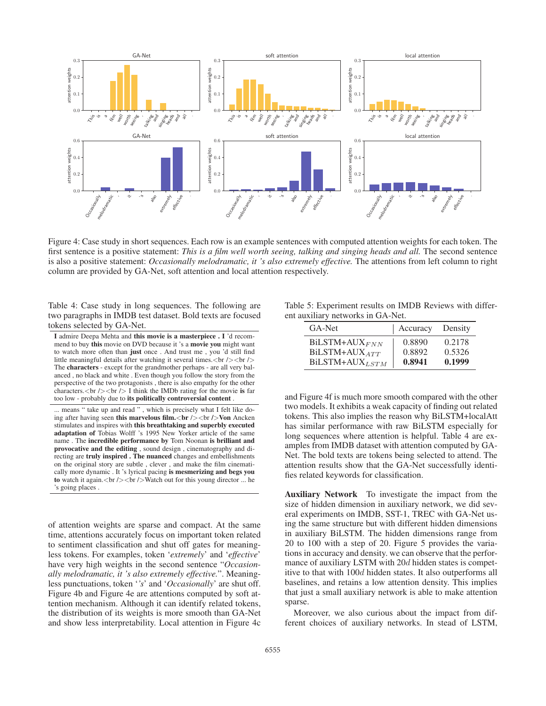

Figure 4: Case study in short sequences. Each row is an example sentences with computed attention weights for each token. The first sentence is a positive statement: *This is a film well worth seeing, talking and singing heads and all.* The second sentence is also a positive statement: *Occasionally melodramatic, it 's also extremely effective.* The attentions from left column to right column are provided by GA-Net, soft attention and local attention respectively.

Table 4: Case study in long sequences. The following are two paragraphs in IMDB test dataset. Bold texts are focused tokens selected by GA-Net.

I admire Deepa Mehta and this movie is a masterpiece . I 'd recommend to buy this movie on DVD because it 's a movie you might want to watch more often than just once . And trust me , you 'd still find little meaningful details after watching it several times. $\langle$ br / $>$ The characters - except for the grandmother perhaps - are all very balanced , no black and white . Even though you follow the story from the perspective of the two protagonists , there is also empathy for the other characters. $\langle$ br  $\rangle$   $\langle$   $\rangle$   $\sim$  I think the IMDb rating for the movie is far too low - probably due to its politically controversial content .

... means " take up and read " , which is precisely what I felt like doing after having seen **this marvelous film.**<br/> $\langle$ br/> $\rangle$ Von Ancken stimulates and inspires with this breathtaking and superbly executed adaptation of Tobias Wolff 's 1995 New Yorker article of the same name . The incredible performance by Tom Noonan is brilliant and provocative and the editing , sound design , cinematography and directing are truly inspired . The nuanced changes and embellishments on the original story are subtle , clever , and make the film cinematically more dynamic . It 's lyrical pacing is mesmerizing and begs you to watch it again.<br/> $\langle$ br/ $>$ the  $\langle$ br/ $>$ Watch out for this young director ... he 's going places .

of attention weights are sparse and compact. At the same time, attentions accurately focus on important token related to sentiment classification and shut off gates for meaningless tokens. For examples, token '*extremely*' and '*effective*' have very high weights in the second sentence "*Occasionally melodramatic, it 's also extremely effective.*". Meaningless punctuations, token '*'s*' and '*Occasionally*' are shut off. Figure 4b and Figure 4e are attentions computed by soft attention mechanism. Although it can identify related tokens, the distribution of its weights is more smooth than GA-Net and show less interpretability. Local attention in Figure 4c

Table 5: Experiment results on IMDB Reviews with different auxiliary networks in GA-Net.

| GA-Net              | Accuracy | Density |
|---------------------|----------|---------|
| $BiLSTM+AUX_{FNN}$  | 0.8890   | 0.2178  |
| $BiLSTM+AUX_{ATT}$  | 0.8892   | 0.5326  |
| $BiLSTM+AUX_{LSTM}$ | 0.8941   | 0.1999  |

and Figure 4f is much more smooth compared with the other two models. It exhibits a weak capacity of finding out related tokens. This also implies the reason why BiLSTM+localAtt has similar performance with raw BiLSTM especially for long sequences where attention is helpful. Table 4 are examples from IMDB dataset with attention computed by GA-Net. The bold texts are tokens being selected to attend. The attention results show that the GA-Net successfully identifies related keywords for classification.

Auxiliary Network To investigate the impact from the size of hidden dimension in auxiliary network, we did several experiments on IMDB, SST-1, TREC with GA-Net using the same structure but with different hidden dimensions in auxiliary BiLSTM. The hidden dimensions range from 20 to 100 with a step of 20. Figure 5 provides the variations in accuracy and density. we can observe that the performance of auxiliary LSTM with 20d hidden states is competitive to that with 100d hidden states. It also outperforms all baselines, and retains a low attention density. This implies that just a small auxiliary network is able to make attention sparse.

Moreover, we also curious about the impact from different choices of auxiliary networks. In stead of LSTM,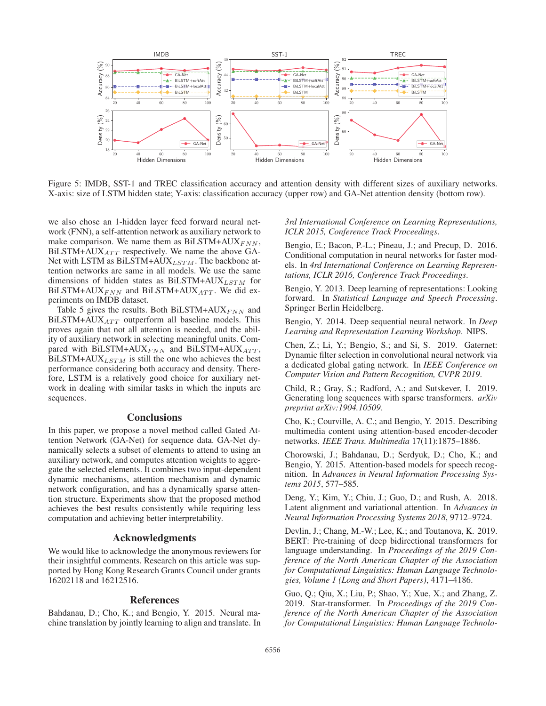

Figure 5: IMDB, SST-1 and TREC classification accuracy and attention density with different sizes of auxiliary networks. X-axis: size of LSTM hidden state; Y-axis: classification accuracy (upper row) and GA-Net attention density (bottom row).

we also chose an 1-hidden layer feed forward neural network (FNN), a self-attention network as auxiliary network to make comparison. We name them as BiLSTM+AUX $_{FNN}$ , BiLSTM+AUX $_{ATT}$  respectively. We name the above GA-Net with LSTM as BiLSTM+AUX $_{LSTM}$ . The backbone attention networks are same in all models. We use the same dimensions of hidden states as BiLSTM+AUX $_{LSTM}$  for BiLSTM+AUX $_{FNN}$  and BiLSTM+AUX $_{ATT}$ . We did experiments on IMDB dataset.

Table 5 gives the results. Both BiLSTM+AUX $_{FNN}$  and BiLSTM+AUX $_{ATT}$  outperform all baseline models. This proves again that not all attention is needed, and the ability of auxiliary network in selecting meaningful units. Compared with BiLSTM+AUX $_{FNN}$  and BiLSTM+AUX $_{ATT}$ , BiLSTM+AUX $_{LSTM}$  is still the one who achieves the best performance considering both accuracy and density. Therefore, LSTM is a relatively good choice for auxiliary network in dealing with similar tasks in which the inputs are sequences.

#### **Conclusions**

In this paper, we propose a novel method called Gated Attention Network (GA-Net) for sequence data. GA-Net dynamically selects a subset of elements to attend to using an auxiliary network, and computes attention weights to aggregate the selected elements. It combines two input-dependent dynamic mechanisms, attention mechanism and dynamic network configuration, and has a dynamically sparse attention structure. Experiments show that the proposed method achieves the best results consistently while requiring less computation and achieving better interpretability.

#### Acknowledgments

We would like to acknowledge the anonymous reviewers for their insightful comments. Research on this article was supported by Hong Kong Research Grants Council under grants 16202118 and 16212516.

#### References

Bahdanau, D.; Cho, K.; and Bengio, Y. 2015. Neural machine translation by jointly learning to align and translate. In *3rd International Conference on Learning Representations, ICLR 2015, Conference Track Proceedings*.

Bengio, E.; Bacon, P.-L.; Pineau, J.; and Precup, D. 2016. Conditional computation in neural networks for faster models. In *4rd International Conference on Learning Representations, ICLR 2016, Conference Track Proceedings*.

Bengio, Y. 2013. Deep learning of representations: Looking forward. In *Statistical Language and Speech Processing*. Springer Berlin Heidelberg.

Bengio, Y. 2014. Deep sequential neural network. In *Deep Learning and Representation Learning Workshop*. NIPS.

Chen, Z.; Li, Y.; Bengio, S.; and Si, S. 2019. Gaternet: Dynamic filter selection in convolutional neural network via a dedicated global gating network. In *IEEE Conference on Computer Vision and Pattern Recognition, CVPR 2019*.

Child, R.; Gray, S.; Radford, A.; and Sutskever, I. 2019. Generating long sequences with sparse transformers. *arXiv preprint arXiv:1904.10509*.

Cho, K.; Courville, A. C.; and Bengio, Y. 2015. Describing multimedia content using attention-based encoder-decoder networks. *IEEE Trans. Multimedia* 17(11):1875–1886.

Chorowski, J.; Bahdanau, D.; Serdyuk, D.; Cho, K.; and Bengio, Y. 2015. Attention-based models for speech recognition. In *Advances in Neural Information Processing Systems 2015*, 577–585.

Deng, Y.; Kim, Y.; Chiu, J.; Guo, D.; and Rush, A. 2018. Latent alignment and variational attention. In *Advances in Neural Information Processing Systems 2018*, 9712–9724.

Devlin, J.; Chang, M.-W.; Lee, K.; and Toutanova, K. 2019. BERT: Pre-training of deep bidirectional transformers for language understanding. In *Proceedings of the 2019 Conference of the North American Chapter of the Association for Computational Linguistics: Human Language Technologies, Volume 1 (Long and Short Papers)*, 4171–4186.

Guo, Q.; Qiu, X.; Liu, P.; Shao, Y.; Xue, X.; and Zhang, Z. 2019. Star-transformer. In *Proceedings of the 2019 Conference of the North American Chapter of the Association for Computational Linguistics: Human Language Technolo-*